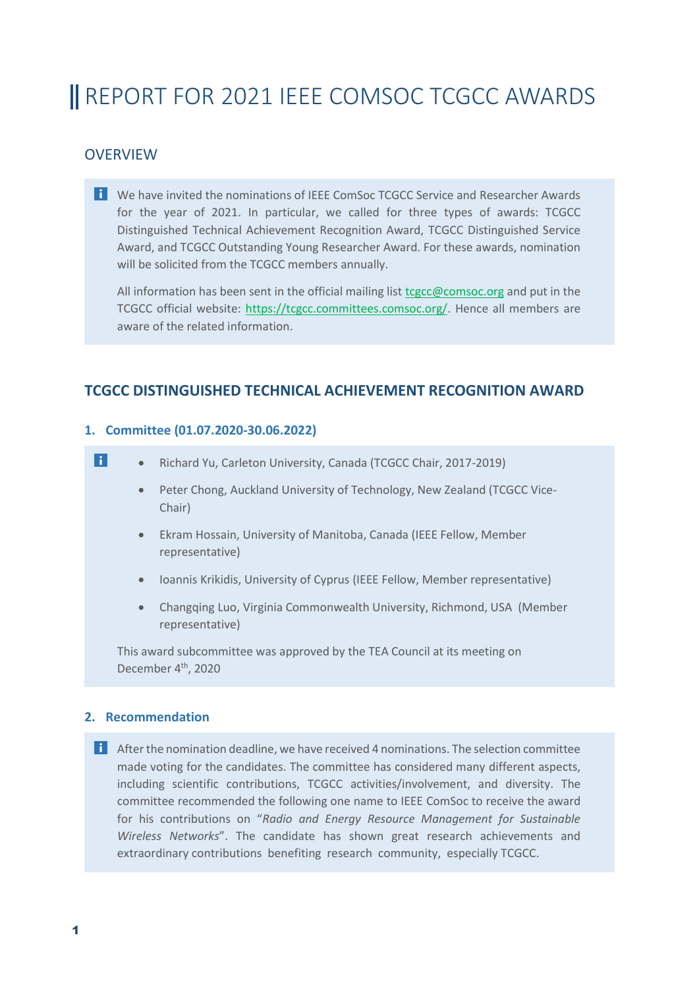# **I** REPORT FOR 2021 IEEE COMSOC TCGCC AWARDS

# **OVERVIEW**

We have invited the nominations of IEEE ComSoc TCGCC Service and Researcher Awards for the year of 2021. In particular, we called for three types of awards: TCGCC Distinguished Technical Achievement Recognition Award, TCGCC Distinguished Service Award, and TCGCC Outstanding Young Researcher Award. For these awards, nomination will be solicited from the TCGCC members annually.

All information has been sent in the official mailing list [tcgcc@comsoc.org](mailto:tcgcc@comsoc.org) and put in the TCGCC official website: [https://tcgcc.committees.comsoc.org/.](https://tcgcc.committees.comsoc.org/) Hence all members are aware of the related information.

# **TCGCC DISTINGUISHED TECHNICAL ACHIEVEMENT RECOGNITION AWARD**

## **1. Committee (01.07.2020-30.06.2022)**

- $\overline{\mathbf{a}}$ • Richard Yu, Carleton University, Canada (TCGCC Chair, 2017-2019)
	- Peter Chong, Auckland University of Technology, New Zealand (TCGCC Vice-Chair)
	- Ekram Hossain, University of Manitoba, Canada (IEEE Fellow, Member representative)
	- Ioannis Krikidis, University of Cyprus (IEEE Fellow, Member representative)
	- Changqing Luo, Virginia Commonwealth University, Richmond, USA (Member representative)

This award subcommittee was approved by the TEA Council at its meeting on December 4<sup>th</sup>, 2020

## **2. Recommendation**

**1** After the nomination deadline, we have received 4 nominations. The selection committee made voting for the candidates. The committee has considered many different aspects, including scientific contributions, TCGCC activities/involvement, and diversity. The committee recommended the following one name to IEEE ComSoc to receive the award for his contributions on "*Radio and Energy Resource Management for Sustainable Wireless Networks*". The candidate has shown great research achievements and extraordinary contributions benefiting research community, especially TCGCC.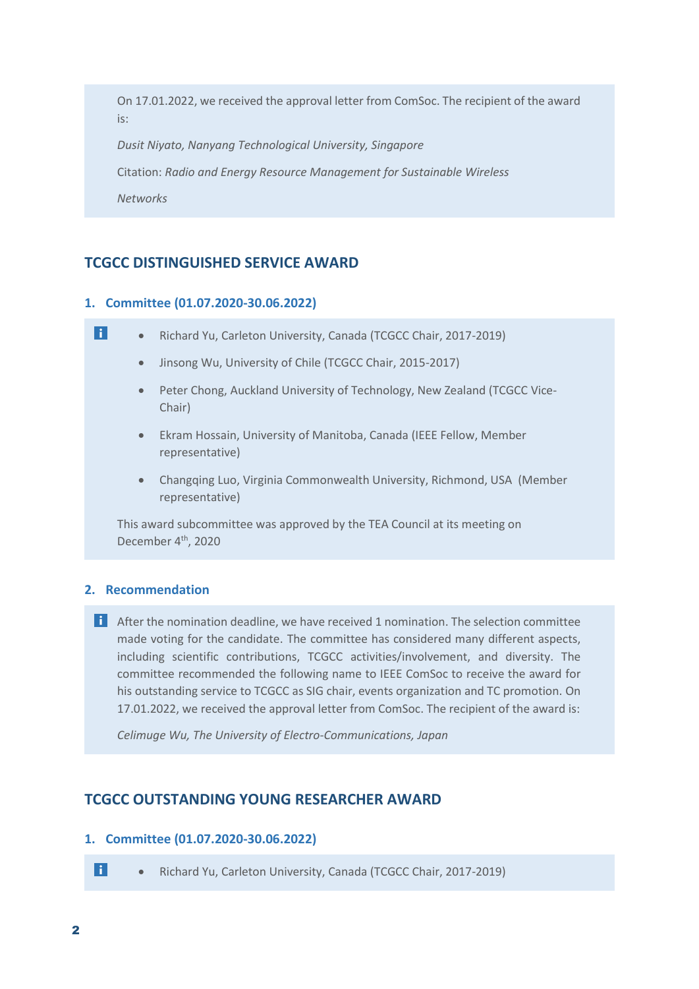On 17.01.2022, we received the approval letter from ComSoc. The recipient of the award is:

*Dusit Niyato, Nanyang Technological University, Singapore*

Citation: *Radio and Energy Resource Management for Sustainable Wireless*

*Networks*

## **TCGCC DISTINGUISHED SERVICE AWARD**

#### **1. Committee (01.07.2020-30.06.2022)**

| l i l | Richard Yu, Carleton University, Canada (TCGCC Chair, 2017-2019) |  |
|-------|------------------------------------------------------------------|--|
|       |                                                                  |  |

- Jinsong Wu, University of Chile (TCGCC Chair, 2015-2017)
- Peter Chong, Auckland University of Technology, New Zealand (TCGCC Vice-Chair)
- Ekram Hossain, University of Manitoba, Canada (IEEE Fellow, Member representative)
- Changqing Luo, Virginia Commonwealth University, Richmond, USA (Member representative)

This award subcommittee was approved by the TEA Council at its meeting on December 4<sup>th</sup>, 2020

#### **2. Recommendation**

**1** After the nomination deadline, we have received 1 nomination. The selection committee made voting for the candidate. The committee has considered many different aspects, including scientific contributions, TCGCC activities/involvement, and diversity. The committee recommended the following name to IEEE ComSoc to receive the award for his outstanding service to TCGCC as SIG chair, events organization and TC promotion. On 17.01.2022, we received the approval letter from ComSoc. The recipient of the award is:

*Celimuge Wu, The University of Electro-Communications, Japan*

### **TCGCC OUTSTANDING YOUNG RESEARCHER AWARD**

#### **1. Committee (01.07.2020-30.06.2022)**

• Richard Yu, Carleton University, Canada (TCGCC Chair, 2017-2019)

 $\blacksquare$